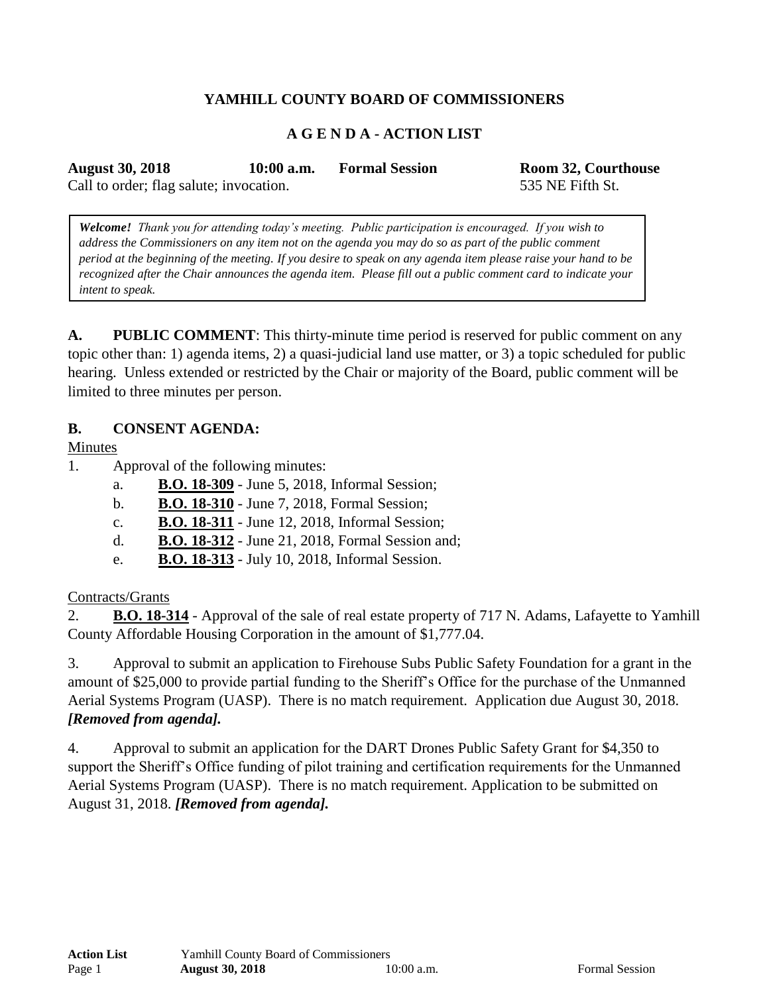# **YAMHILL COUNTY BOARD OF COMMISSIONERS**

## **A G E N D A - ACTION LIST**

**August 30, 2018 10:00 a.m. Formal Session Room 32, Courthouse**

Call to order; flag salute; invocation. 535 NE Fifth St.

*Welcome! Thank you for attending today's meeting. Public participation is encouraged. If you wish to address the Commissioners on any item not on the agenda you may do so as part of the public comment period at the beginning of the meeting. If you desire to speak on any agenda item please raise your hand to be recognized after the Chair announces the agenda item. Please fill out a public comment card to indicate your intent to speak.*

**A. PUBLIC COMMENT**: This thirty-minute time period is reserved for public comment on any topic other than: 1) agenda items, 2) a quasi-judicial land use matter, or 3) a topic scheduled for public hearing. Unless extended or restricted by the Chair or majority of the Board, public comment will be limited to three minutes per person.

#### **B. CONSENT AGENDA:**

Minutes

- 1. Approval of the following minutes:
	- a. **B.O. 18-309** June 5, 2018, Informal Session;
	- b. **B.O. 18-310** June 7, 2018, Formal Session;
	- c. **B.O. 18-311** June 12, 2018, Informal Session;
	- d. **B.O. 18-312** June 21, 2018, Formal Session and;
	- e. **B.O. 18-313** July 10, 2018, Informal Session.

#### Contracts/Grants

2. **B.O. 18-314** - Approval of the sale of real estate property of 717 N. Adams, Lafayette to Yamhill County Affordable Housing Corporation in the amount of \$1,777.04.

3. Approval to submit an application to Firehouse Subs Public Safety Foundation for a grant in the amount of \$25,000 to provide partial funding to the Sheriff's Office for the purchase of the Unmanned Aerial Systems Program (UASP). There is no match requirement. Application due August 30, 2018. *[Removed from agenda].*

4. Approval to submit an application for the DART Drones Public Safety Grant for \$4,350 to support the Sheriff's Office funding of pilot training and certification requirements for the Unmanned Aerial Systems Program (UASP). There is no match requirement. Application to be submitted on August 31, 2018. *[Removed from agenda].*